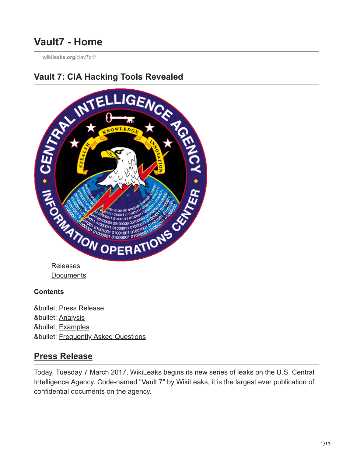# **Vault7 - Home**

**[wikileaks.org](https://wikileaks.org/ciav7p1/)**/ciav7p1/



**[Documents](https://wikileaks.org/ciav7p1/cms/index.html)** 

#### **Contents**

• [Press Release](#page-0-0) • [Analysis](#page-2-0) • [Examples](#page-7-0) • [Frequently Asked Questions](#page-10-0)

## <span id="page-0-0"></span>**Press Release**

Today, Tuesday 7 March 2017, WikiLeaks begins its new series of leaks on the U.S. Central Intelligence Agency. Code-named "Vault 7" by WikiLeaks, it is the largest ever publication of confidential documents on the agency.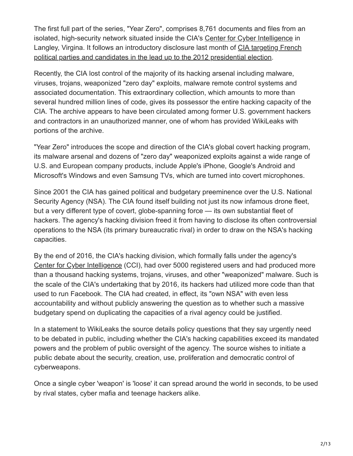The first full part of the series, "Year Zero", comprises 8,761 documents and files from an isolated, high-security network situated inside the CIA's [Center for Cyber Intelligence](https://wikileaks.org/ciav7p1/files/org-chart.png) in [Langley, Virgina. It follows an introductory disclosure last month of CIA targeting French](https://wikileaks.org/cia-france-elections-2012) political parties and candidates in the lead up to the 2012 presidential election.

Recently, the CIA lost control of the majority of its hacking arsenal including malware, viruses, trojans, weaponized "zero day" exploits, malware remote control systems and associated documentation. This extraordinary collection, which amounts to more than several hundred million lines of code, gives its possessor the entire hacking capacity of the CIA. The archive appears to have been circulated among former U.S. government hackers and contractors in an unauthorized manner, one of whom has provided WikiLeaks with portions of the archive.

"Year Zero" introduces the scope and direction of the CIA's global covert hacking program, its malware arsenal and dozens of "zero day" weaponized exploits against a wide range of U.S. and European company products, include Apple's iPhone, Google's Android and Microsoft's Windows and even Samsung TVs, which are turned into covert microphones.

Since 2001 the CIA has gained political and budgetary preeminence over the U.S. National Security Agency (NSA). The CIA found itself building not just its now infamous drone fleet, but a very different type of covert, globe-spanning force — its own substantial fleet of hackers. The agency's hacking division freed it from having to disclose its often controversial operations to the NSA (its primary bureaucratic rival) in order to draw on the NSA's hacking capacities.

By the end of 2016, the CIA's hacking division, which formally falls under the agency's [Center for Cyber Intelligence](https://wikileaks.org/ciav7p1/files/org-chart.png) (CCI), had over 5000 registered users and had produced more than a thousand hacking systems, trojans, viruses, and other "weaponized" malware. Such is the scale of the CIA's undertaking that by 2016, its hackers had utilized more code than that used to run Facebook. The CIA had created, in effect, its "own NSA" with even less accountability and without publicly answering the question as to whether such a massive budgetary spend on duplicating the capacities of a rival agency could be justified.

In a statement to WikiLeaks the source details policy questions that they say urgently need to be debated in public, including whether the CIA's hacking capabilities exceed its mandated powers and the problem of public oversight of the agency. The source wishes to initiate a public debate about the security, creation, use, proliferation and democratic control of cyberweapons.

Once a single cyber 'weapon' is 'loose' it can spread around the world in seconds, to be used by rival states, cyber mafia and teenage hackers alike.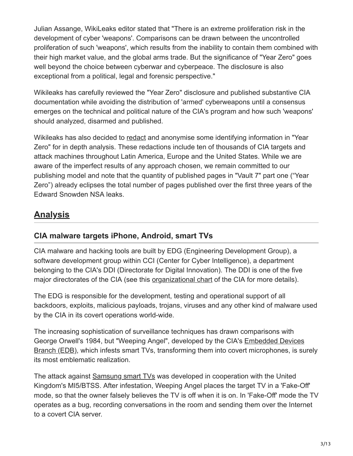Julian Assange, WikiLeaks editor stated that "There is an extreme proliferation risk in the development of cyber 'weapons'. Comparisons can be drawn between the uncontrolled proliferation of such 'weapons', which results from the inability to contain them combined with their high market value, and the global arms trade. But the significance of "Year Zero" goes well beyond the choice between cyberwar and cyberpeace. The disclosure is also exceptional from a political, legal and forensic perspective."

Wikileaks has carefully reviewed the "Year Zero" disclosure and published substantive CIA documentation while avoiding the distribution of 'armed' cyberweapons until a consensus emerges on the technical and political nature of the CIA's program and how such 'weapons' should analyzed, disarmed and published.

Wikileaks has also decided to [redact](#page-10-1) and anonymise some identifying information in "Year Zero" for in depth analysis. These redactions include ten of thousands of CIA targets and attack machines throughout Latin America, Europe and the United States. While we are aware of the imperfect results of any approach chosen, we remain committed to our publishing model and note that the quantity of published pages in "Vault 7" part one ("Year Zero") already eclipses the total number of pages published over the first three years of the Edward Snowden NSA leaks.

## <span id="page-2-0"></span>**Analysis**

## **CIA malware targets iPhone, Android, smart TVs**

CIA malware and hacking tools are built by EDG (Engineering Development Group), a software development group within CCI (Center for Cyber Intelligence), a department belonging to the CIA's DDI (Directorate for Digital Innovation). The DDI is one of the five major directorates of the CIA (see this [organizational chart](https://wikileaks.org/ciav7p1/files/org-chart.png) of the CIA for more details).

The EDG is responsible for the development, testing and operational support of all backdoors, exploits, malicious payloads, trojans, viruses and any other kind of malware used by the CIA in its covert operations world-wide.

The increasing sophistication of surveillance techniques has drawn comparisons with [George Orwell's 1984, but "Weeping Angel", developed by the CIA's Embedded Devices](https://wikileaks.org/ciav7p1/cms/space_753667.html) Branch (EDB), which infests smart TVs, transforming them into covert microphones, is surely its most emblematic realization.

The attack against [Samsung smart TVs](https://wikileaks.org/ciav7p1/cms/page_12353643.html) was developed in cooperation with the United Kingdom's MI5/BTSS. After infestation, Weeping Angel places the target TV in a 'Fake-Off' mode, so that the owner falsely believes the TV is off when it is on. In 'Fake-Off' mode the TV operates as a bug, recording conversations in the room and sending them over the Internet to a covert CIA server.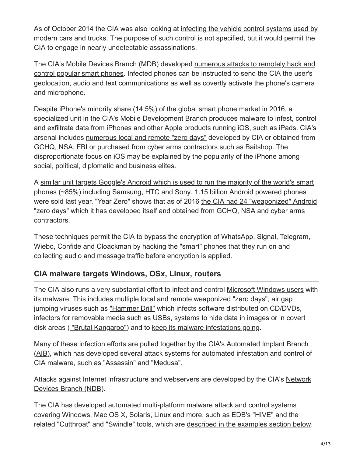[As of October 2014 the CIA was also looking at infecting the vehicle control systems used by](https://wikileaks.org/ciav7p1/cms/page_13763790.html) modern cars and trucks. The purpose of such control is not specified, but it would permit the CIA to engage in nearly undetectable assassinations.

[The CIA's Mobile Devices Branch \(MDB\) developed numerous attacks to remotely hack and](https://wikileaks.org/ciav7p1/cms/space_3276804.html) control popular smart phones. Infected phones can be instructed to send the CIA the user's geolocation, audio and text communications as well as covertly activate the phone's camera and microphone.

Despite iPhone's minority share (14.5%) of the global smart phone market in 2016, a specialized unit in the CIA's Mobile Development Branch produces malware to infest, control and exfiltrate data from [iPhones and other Apple products running iOS, such as iPads.](https://wikileaks.org/ciav7p1/cms/space_2359301.html) CIA's arsenal includes [numerous local and remote "zero days"](https://wikileaks.org/ciav7p1/cms/page_13205587.html) developed by CIA or obtained from GCHQ, NSA, FBI or purchased from cyber arms contractors such as Baitshop. The disproportionate focus on iOS may be explained by the popularity of the iPhone among social, political, diplomatic and business elites.

[A similar unit targets Google's Android which is used to run the majority of the world's smart](https://wikileaks.org/ciav7p1/cms/space_11763721.html) phones (~85%) including Samsung, HTC and Sony. 1.15 billion Android powered phones [were sold last year. "Year Zero" shows that as of 2016 the CIA had 24 "weaponized" Android](https://wikileaks.org/ciav7p1/cms/page_11629096.html) "zero days" which it has developed itself and obtained from GCHQ, NSA and cyber arms contractors.

These techniques permit the CIA to bypass the encryption of WhatsApp, Signal, Telegram, Wiebo, Confide and Cloackman by hacking the "smart" phones that they run on and collecting audio and message traffic before encryption is applied.

## **CIA malware targets Windows, OSx, Linux, routers**

The CIA also runs a very substantial effort to infect and control [Microsoft Windows users](https://wikileaks.org/ciav7p1/cms/page_11628612.html) with its malware. This includes multiple local and remote weaponized "zero days", air gap jumping viruses such as ["Hammer Drill"](https://wikileaks.org/ciav7p1/cms/page_17072172.html) which infects software distributed on CD/DVDs, [infectors for removable media such as USBs,](https://wikileaks.org/ciav7p1/cms/page_13762636.html) systems to [hide data in images](https://wikileaks.org/ciav7p1/cms/page_13763247.html) or in covert disk areas ( ["Brutal Kangaroo"\)](https://wikileaks.org/ciav7p1/cms/page_13763236.html) and to [keep its malware infestations going](https://wikileaks.org/ciav7p1/cms/page_13763650.html).

[Many of these infection efforts are pulled together by the CIA's Automated Implant Branch](https://wikileaks.org/ciav7p1/cms/space_3276805.html) (AIB), which has developed several attack systems for automated infestation and control of CIA malware, such as "Assassin" and "Medusa".

[Attacks against Internet infrastructure and webservers are developed by the CIA's Network](https://wikileaks.org/ciav7p1/cms/space_15204355.html) Devices Branch (NDB).

The CIA has developed automated multi-platform malware attack and control systems covering Windows, Mac OS X, Solaris, Linux and more, such as EDB's "HIVE" and the related "Cutthroat" and "Swindle" tools, which are [described in the examples section below](#page-9-0).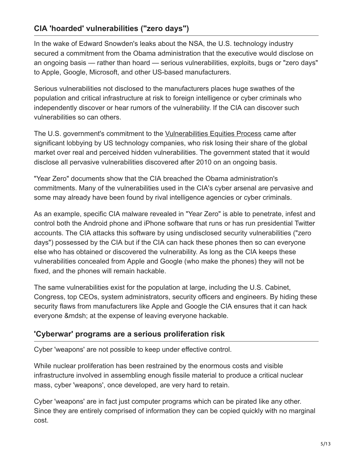## **CIA 'hoarded' vulnerabilities ("zero days")**

In the wake of Edward Snowden's leaks about the NSA, the U.S. technology industry secured a commitment from the Obama administration that the executive would disclose on an ongoing basis — rather than hoard — serious vulnerabilities, exploits, bugs or "zero days" to Apple, Google, Microsoft, and other US-based manufacturers.

Serious vulnerabilities not disclosed to the manufacturers places huge swathes of the population and critical infrastructure at risk to foreign intelligence or cyber criminals who independently discover or hear rumors of the vulnerability. If the CIA can discover such vulnerabilities so can others.

The U.S. government's commitment to the [Vulnerabilities Equities Process](https://is.gd/vepvep) came after significant lobbying by US technology companies, who risk losing their share of the global market over real and perceived hidden vulnerabilities. The government stated that it would disclose all pervasive vulnerabilities discovered after 2010 on an ongoing basis.

"Year Zero" documents show that the CIA breached the Obama administration's commitments. Many of the vulnerabilities used in the CIA's cyber arsenal are pervasive and some may already have been found by rival intelligence agencies or cyber criminals.

As an example, specific CIA malware revealed in "Year Zero" is able to penetrate, infest and control both the Android phone and iPhone software that runs or has run presidential Twitter accounts. The CIA attacks this software by using undisclosed security vulnerabilities ("zero days") possessed by the CIA but if the CIA can hack these phones then so can everyone else who has obtained or discovered the vulnerability. As long as the CIA keeps these vulnerabilities concealed from Apple and Google (who make the phones) they will not be fixed, and the phones will remain hackable.

The same vulnerabilities exist for the population at large, including the U.S. Cabinet, Congress, top CEOs, system administrators, security officers and engineers. By hiding these security flaws from manufacturers like Apple and Google the CIA ensures that it can hack everyone &mdsh; at the expense of leaving everyone hackable.

#### **'Cyberwar' programs are a serious proliferation risk**

Cyber 'weapons' are not possible to keep under effective control.

While nuclear proliferation has been restrained by the enormous costs and visible infrastructure involved in assembling enough fissile material to produce a critical nuclear mass, cyber 'weapons', once developed, are very hard to retain.

Cyber 'weapons' are in fact just computer programs which can be pirated like any other. Since they are entirely comprised of information they can be copied quickly with no marginal cost.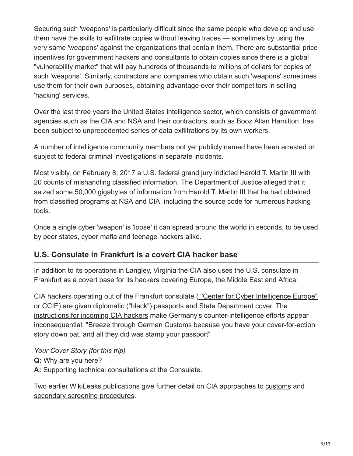Securing such 'weapons' is particularly difficult since the same people who develop and use them have the skills to exfiltrate copies without leaving traces — sometimes by using the very same 'weapons' against the organizations that contain them. There are substantial price incentives for government hackers and consultants to obtain copies since there is a global "vulnerability market" that will pay hundreds of thousands to millions of dollars for copies of such 'weapons'. Similarly, contractors and companies who obtain such 'weapons' sometimes use them for their own purposes, obtaining advantage over their competitors in selling 'hacking' services.

Over the last three years the United States intelligence sector, which consists of government agencies such as the CIA and NSA and their contractors, such as Booz Allan Hamilton, has been subject to unprecedented series of data exfiltrations by its own workers.

A number of intelligence community members not yet publicly named have been arrested or subject to federal criminal investigations in separate incidents.

Most visibly, on February 8, 2017 a U.S. federal grand jury indicted Harold T. Martin III with 20 counts of mishandling classified information. The Department of Justice alleged that it seized some 50,000 gigabytes of information from Harold T. Martin III that he had obtained from classified programs at NSA and CIA, including the source code for numerous hacking tools.

Once a single cyber 'weapon' is 'loose' it can spread around the world in seconds, to be used by peer states, cyber mafia and teenage hackers alike.

## **U.S. Consulate in Frankfurt is a covert CIA hacker base**

In addition to its operations in Langley, Virginia the CIA also uses the U.S. consulate in Frankfurt as a covert base for its hackers covering Europe, the Middle East and Africa.

CIA hackers operating out of the Frankfurt consulate ( ["Center for Cyber Intelligence Europe"](https://wikileaks.org/ciav7p1/cms/page_20251151.html) [or CCIE\) are given diplomatic \("black"\) passports and State Department cover. The](https://wikileaks.org/ciav7p1/cms/page_26607630.html) instructions for incoming CIA hackers make Germany's counter-intelligence efforts appear inconsequential: "Breeze through German Customs because you have your cover-for-action story down pat, and all they did was stamp your passport"

*Your Cover Story (for this trip)* **Q:** Why are you here? **A:** Supporting technical consultations at the Consulate.

Two earlier WikiLeaks publications give further detail on CIA approaches to [customs](https://wikileaks.org/cia-travel/) and [secondary screening procedures](https://wikileaks.org/cia-travel/).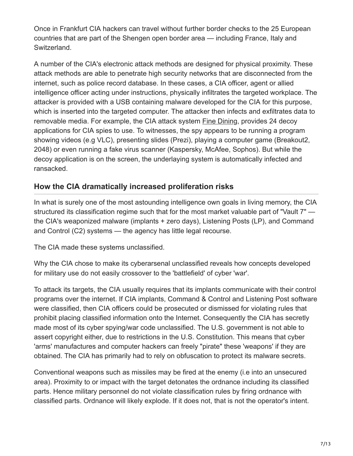Once in Frankfurt CIA hackers can travel without further border checks to the 25 European countries that are part of the Shengen open border area — including France, Italy and Switzerland.

A number of the CIA's electronic attack methods are designed for physical proximity. These attack methods are able to penetrate high security networks that are disconnected from the internet, such as police record database. In these cases, a CIA officer, agent or allied intelligence officer acting under instructions, physically infiltrates the targeted workplace. The attacker is provided with a USB containing malware developed for the CIA for this purpose, which is inserted into the targeted computer. The attacker then infects and exfiltrates data to removable media. For example, the CIA attack system [Fine Dining,](https://wikileaks.org/ciav7p1/cms/page_20251107.html) provides 24 decoy applications for CIA spies to use. To witnesses, the spy appears to be running a program showing videos (e.g VLC), presenting slides (Prezi), playing a computer game (Breakout2, 2048) or even running a fake virus scanner (Kaspersky, McAfee, Sophos). But while the decoy application is on the screen, the underlaying system is automatically infected and ransacked.

## **How the CIA dramatically increased proliferation risks**

In what is surely one of the most astounding intelligence own goals in living memory, the CIA structured its classification regime such that for the most market valuable part of "Vault 7" the CIA's weaponized malware (implants + zero days), Listening Posts (LP), and Command and Control (C2) systems — the agency has little legal recourse.

The CIA made these systems unclassified.

Why the CIA chose to make its cyberarsenal unclassified reveals how concepts developed for military use do not easily crossover to the 'battlefield' of cyber 'war'.

To attack its targets, the CIA usually requires that its implants communicate with their control programs over the internet. If CIA implants, Command & Control and Listening Post software were classified, then CIA officers could be prosecuted or dismissed for violating rules that prohibit placing classified information onto the Internet. Consequently the CIA has secretly made most of its cyber spying/war code unclassified. The U.S. government is not able to assert copyright either, due to restrictions in the U.S. Constitution. This means that cyber 'arms' manufactures and computer hackers can freely "pirate" these 'weapons' if they are obtained. The CIA has primarily had to rely on obfuscation to protect its malware secrets.

Conventional weapons such as missiles may be fired at the enemy (i.e into an unsecured area). Proximity to or impact with the target detonates the ordnance including its classified parts. Hence military personnel do not violate classification rules by firing ordnance with classified parts. Ordnance will likely explode. If it does not, that is not the operator's intent.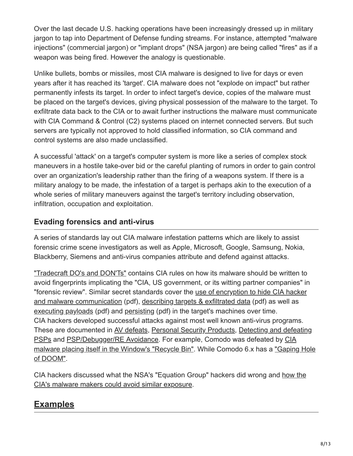Over the last decade U.S. hacking operations have been increasingly dressed up in military jargon to tap into Department of Defense funding streams. For instance, attempted "malware injections" (commercial jargon) or "implant drops" (NSA jargon) are being called "fires" as if a weapon was being fired. However the analogy is questionable.

Unlike bullets, bombs or missiles, most CIA malware is designed to live for days or even years after it has reached its 'target'. CIA malware does not "explode on impact" but rather permanently infests its target. In order to infect target's device, copies of the malware must be placed on the target's devices, giving physical possession of the malware to the target. To exfiltrate data back to the CIA or to await further instructions the malware must communicate with CIA Command & Control (C2) systems placed on internet connected servers. But such servers are typically not approved to hold classified information, so CIA command and control systems are also made unclassified.

A successful 'attack' on a target's computer system is more like a series of complex stock maneuvers in a hostile take-over bid or the careful planting of rumors in order to gain control over an organization's leadership rather than the firing of a weapons system. If there is a military analogy to be made, the infestation of a target is perhaps akin to the execution of a whole series of military maneuvers against the target's territory including observation, infiltration, occupation and exploitation.

## **Evading forensics and anti-virus**

A series of standards lay out CIA malware infestation patterns which are likely to assist forensic crime scene investigators as well as Apple, Microsoft, Google, Samsung, Nokia, Blackberry, Siemens and anti-virus companies attribute and defend against attacks.

["Tradecraft DO's and DON'Ts"](https://wikileaks.org/ciav7p1/cms/page_14587109.html) contains CIA rules on how its malware should be written to avoid fingerprints implicating the "CIA, US government, or its witting partner companies" in ["forensic review". Similar secret standards cover the use of encryption to hide CIA hacker](https://wikileaks.org/ciav7p1/cms/files/NOD%20Cryptographic%20Requirements%20v1.1%20TOP%20SECRET.pdf) and malware communication (pdf), [describing targets & exfiltrated data](https://wikileaks.org/ciav7p1/cms/files/Codex-Spec-v1-SECRET.pdf) (pdf) as well as [executing payloads](https://wikileaks.org/ciav7p1/cms/files/ICE-Spec-v3-final-SECRET.pdf) (pdf) and [persisting](https://wikileaks.org/ciav7p1/cms/files/Persisted-DLL-Spec-v2-SECRET.pdf) (pdf) in the target's machines over time. CIA hackers developed successful attacks against most well known anti-virus programs. [These are documented in A](https://wikileaks.org/ciav7p1/cms/page_7995642.html)[V defeat](https://wikileaks.org/ciav7p1/cms/page_2064514.html)[s, P](https://wikileaks.org/ciav7p1/cms/page_7995642.html)[ersonal Security Product](https://wikileaks.org/ciav7p1/cms/page_13762910.html)[s, Detecting and defeating](https://wikileaks.org/ciav7p1/cms/page_7995642.html) [PSPs and PSP/Debugger/RE Avoidance. For example, Comodo was defeated by CIA](https://wikileaks.org/ciav7p1/cms/page_5341269.html) [malware placing itself in the Window's "Recycle Bin". While Comodo 6.x has a "Gaping Hole](https://wikileaks.org/ciav7p1/cms/page_5341272.html) of DOOM".

[CIA hackers discussed what the NSA's "Equation Group" hackers did wrong and how the](https://wikileaks.org/ciav7p1/cms/page_14588809.html) CIA's malware makers could avoid similar exposure.

## <span id="page-7-0"></span>**Examples**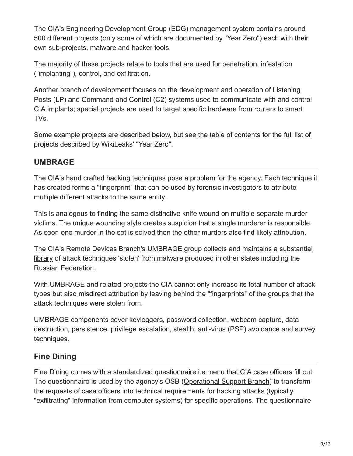The CIA's Engineering Development Group (EDG) management system contains around 500 different projects (only some of which are documented by "Year Zero") each with their own sub-projects, malware and hacker tools.

The majority of these projects relate to tools that are used for penetration, infestation ("implanting"), control, and exfiltration.

Another branch of development focuses on the development and operation of Listening Posts (LP) and Command and Control (C2) systems used to communicate with and control CIA implants; special projects are used to target specific hardware from routers to smart TVs.

Some example projects are described below, but see [the table of contents](https://wikileaks.org/ciav7p1/cms/index.html) for the full list of projects described by WikiLeaks' "Year Zero".

## **UMBRAGE**

The CIA's hand crafted hacking techniques pose a problem for the agency. Each technique it has created forms a "fingerprint" that can be used by forensic investigators to attribute multiple different attacks to the same entity.

This is analogous to finding the same distinctive knife wound on multiple separate murder victims. The unique wounding style creates suspicion that a single murderer is responsible. As soon one murder in the set is solved then the other murders also find likely attribution.

[The CIA's R](https://wikileaks.org/ciav7p1/cms/page_2621753.html)[emote Devices Branch](https://wikileaks.org/ciav7p1/cms/space_753668.html)['s U](https://wikileaks.org/ciav7p1/cms/page_2621753.html)[MBRAGE grou](https://wikileaks.org/ciav7p1/cms/page_2621751.html)[p collects and maintains a substantial](https://wikileaks.org/ciav7p1/cms/page_2621753.html) library of attack techniques 'stolen' from malware produced in other states including the Russian Federation.

With UMBRAGE and related projects the CIA cannot only increase its total number of attack types but also misdirect attribution by leaving behind the "fingerprints" of the groups that the attack techniques were stolen from.

UMBRAGE components cover keyloggers, password collection, webcam capture, data destruction, persistence, privilege escalation, stealth, anti-virus (PSP) avoidance and survey techniques.

## **Fine Dining**

Fine Dining comes with a standardized questionnaire i.e menu that CIA case officers fill out. The questionnaire is used by the agency's OSB ([Operational Support Branch](https://wikileaks.org/ciav7p1/cms/space_1736706.html)) to transform the requests of case officers into technical requirements for hacking attacks (typically "exfiltrating" information from computer systems) for specific operations. The questionnaire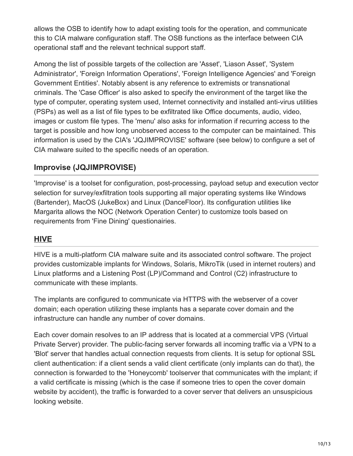allows the OSB to identify how to adapt existing tools for the operation, and communicate this to CIA malware configuration staff. The OSB functions as the interface between CIA operational staff and the relevant technical support staff.

Among the list of possible targets of the collection are 'Asset', 'Liason Asset', 'System Administrator', 'Foreign Information Operations', 'Foreign Intelligence Agencies' and 'Foreign Government Entities'. Notably absent is any reference to extremists or transnational criminals. The 'Case Officer' is also asked to specify the environment of the target like the type of computer, operating system used, Internet connectivity and installed anti-virus utilities (PSPs) as well as a list of file types to be exfiltrated like Office documents, audio, video, images or custom file types. The 'menu' also asks for information if recurring access to the target is possible and how long unobserved access to the computer can be maintained. This information is used by the CIA's 'JQJIMPROVISE' software (see below) to configure a set of CIA malware suited to the specific needs of an operation.

## **Improvise (JQJIMPROVISE)**

'Improvise' is a toolset for configuration, post-processing, payload setup and execution vector selection for survey/exfiltration tools supporting all major operating systems like Windows (Bartender), MacOS (JukeBox) and Linux (DanceFloor). Its configuration utilities like Margarita allows the NOC (Network Operation Center) to customize tools based on requirements from 'Fine Dining' questionairies.

#### <span id="page-9-0"></span>**HIVE**

HIVE is a multi-platform CIA malware suite and its associated control software. The project provides customizable implants for Windows, Solaris, MikroTik (used in internet routers) and Linux platforms and a Listening Post (LP)/Command and Control (C2) infrastructure to communicate with these implants.

The implants are configured to communicate via HTTPS with the webserver of a cover domain; each operation utilizing these implants has a separate cover domain and the infrastructure can handle any number of cover domains.

Each cover domain resolves to an IP address that is located at a commercial VPS (Virtual Private Server) provider. The public-facing server forwards all incoming traffic via a VPN to a 'Blot' server that handles actual connection requests from clients. It is setup for optional SSL client authentication: if a client sends a valid client certificate (only implants can do that), the connection is forwarded to the 'Honeycomb' toolserver that communicates with the implant; if a valid certificate is missing (which is the case if someone tries to open the cover domain website by accident), the traffic is forwarded to a cover server that delivers an unsuspicious looking website.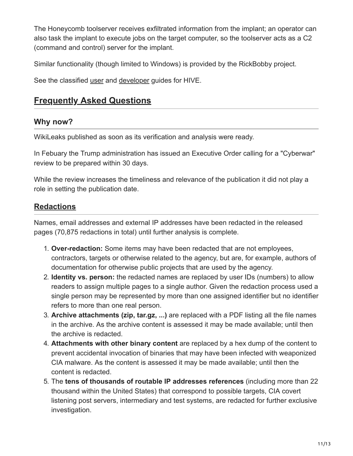The Honeycomb toolserver receives exfiltrated information from the implant; an operator can also task the implant to execute jobs on the target computer, so the toolserver acts as a C2 (command and control) server for the implant.

Similar functionality (though limited to Windows) is provided by the RickBobby project.

<span id="page-10-0"></span>See the classified [user](https://wikileaks.org/ciav7p1/cms/files/UsersGuide.pdf) and [developer](https://wikileaks.org/ciav7p1/cms/files/DevelopersGuide.pdf) guides for HIVE.

## **Frequently Asked Questions**

### **Why now?**

WikiLeaks published as soon as its verification and analysis were ready.

In Febuary the Trump administration has issued an Executive Order calling for a "Cyberwar" review to be prepared within 30 days.

While the review increases the timeliness and relevance of the publication it did not play a role in setting the publication date.

## <span id="page-10-1"></span>**Redactions**

Names, email addresses and external IP addresses have been redacted in the released pages (70,875 redactions in total) until further analysis is complete.

- 1. **Over-redaction:** Some items may have been redacted that are not employees, contractors, targets or otherwise related to the agency, but are, for example, authors of documentation for otherwise public projects that are used by the agency.
- 2. **Identity vs. person:** the redacted names are replaced by user IDs (numbers) to allow readers to assign multiple pages to a single author. Given the redaction process used a single person may be represented by more than one assigned identifier but no identifier refers to more than one real person.
- 3. **Archive attachments (zip, tar.gz, ...)** are replaced with a PDF listing all the file names in the archive. As the archive content is assessed it may be made available; until then the archive is redacted.
- 4. **Attachments with other binary content** are replaced by a hex dump of the content to prevent accidental invocation of binaries that may have been infected with weaponized CIA malware. As the content is assessed it may be made available; until then the content is redacted.
- 5. The **tens of thousands of routable IP addresses references** (including more than 22 thousand within the United States) that correspond to possible targets, CIA covert listening post servers, intermediary and test systems, are redacted for further exclusive investigation.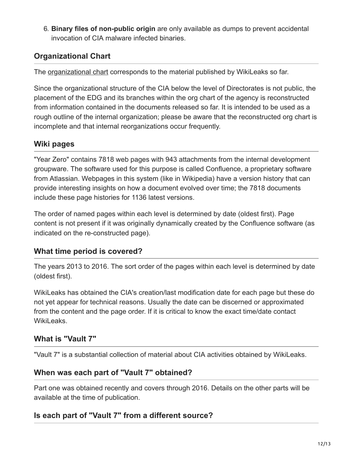6. **Binary files of non-public origin** are only available as dumps to prevent accidental invocation of CIA malware infected binaries.

## **Organizational Chart**

The **organizational chart** corresponds to the material published by WikiLeaks so far.

Since the organizational structure of the CIA below the level of Directorates is not public, the placement of the EDG and its branches within the org chart of the agency is reconstructed from information contained in the documents released so far. It is intended to be used as a rough outline of the internal organization; please be aware that the reconstructed org chart is incomplete and that internal reorganizations occur frequently.

## **Wiki pages**

"Year Zero" contains 7818 web pages with 943 attachments from the internal development groupware. The software used for this purpose is called Confluence, a proprietary software from Atlassian. Webpages in this system (like in Wikipedia) have a version history that can provide interesting insights on how a document evolved over time; the 7818 documents include these page histories for 1136 latest versions.

The order of named pages within each level is determined by date (oldest first). Page content is not present if it was originally dynamically created by the Confluence software (as indicated on the re-constructed page).

## **What time period is covered?**

The years 2013 to 2016. The sort order of the pages within each level is determined by date (oldest first).

WikiLeaks has obtained the CIA's creation/last modification date for each page but these do not yet appear for technical reasons. Usually the date can be discerned or approximated from the content and the page order. If it is critical to know the exact time/date contact WikiLeaks.

## **What is "Vault 7"**

"Vault 7" is a substantial collection of material about CIA activities obtained by WikiLeaks.

## **When was each part of "Vault 7" obtained?**

Part one was obtained recently and covers through 2016. Details on the other parts will be available at the time of publication.

## **Is each part of "Vault 7" from a different source?**